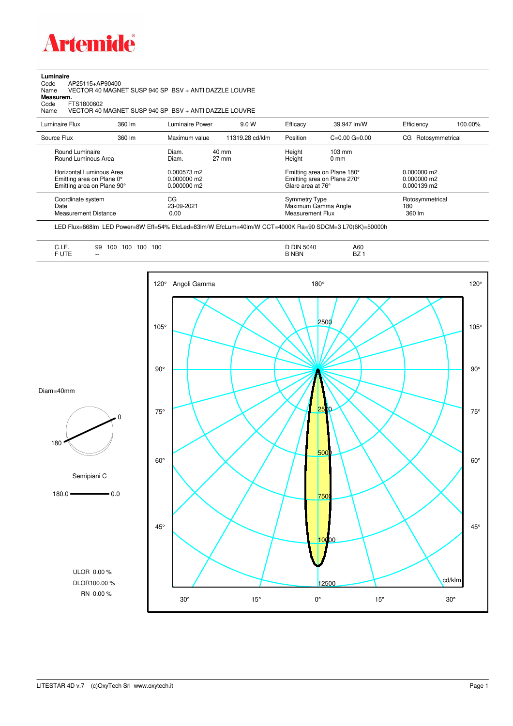

**Luminaire**<br>Code<br>Name Code AP25115+AP90400 Name VECTOR 40 MAGNET SUSP 940 SP BSV + ANTI DAZZLE LOUVRE **Measurem.**

Code FTS1800602<br>Name VECTOR 40 VECTOR 40 MAGNET SUSP 940 SP BSV + ANTI DAZZLE LOUVRE

| Luminaire Flux                                                                                                                | 360 lm | Luminaire Power                                                 | 9.0 W                    | Efficacy                                 | 39.947 lm/W                                                                                      | Efficiency                                      | 100.00% |
|-------------------------------------------------------------------------------------------------------------------------------|--------|-----------------------------------------------------------------|--------------------------|------------------------------------------|--------------------------------------------------------------------------------------------------|-------------------------------------------------|---------|
| Source Flux                                                                                                                   | 360 lm | Maximum value                                                   | 11319.28 cd/klm          | Position                                 | $C=0.00$ $G=0.00$                                                                                | CG Rotosymmetrical                              |         |
| Round Luminaire<br>Round Luminous Area<br>Horizontal Luminous Area<br>Emitting area on Plane 0°<br>Emitting area on Plane 90° |        | Diam.<br>Diam.<br>0.000573 m2<br>$0.000000$ m2<br>$0.000000$ m2 | 40 mm<br>$27 \text{ mm}$ | Height<br>Height<br>Glare area at 76°    | $103 \text{ mm}$<br>$0 \text{ mm}$<br>Emitting area on Plane 180°<br>Emitting area on Plane 270° | $0.000000$ m2<br>$0.000000$ m2<br>$0.000139$ m2 |         |
| Coordinate system<br>Date<br><b>Measurement Distance</b>                                                                      |        | CG<br>23-09-2021<br>0.00                                        |                          | <b>Symmetry Type</b><br>Measurement Flux | Maximum Gamma Angle                                                                              | Rotosymmetrical<br>180<br>360 lm                |         |

LED Flux=668lm LED Power=8W Eff=54% EfcLed=83lm/W EfcLum=40lm/W CCT=4000K Ra=90 SDCM=3 L70(6K)=50000h